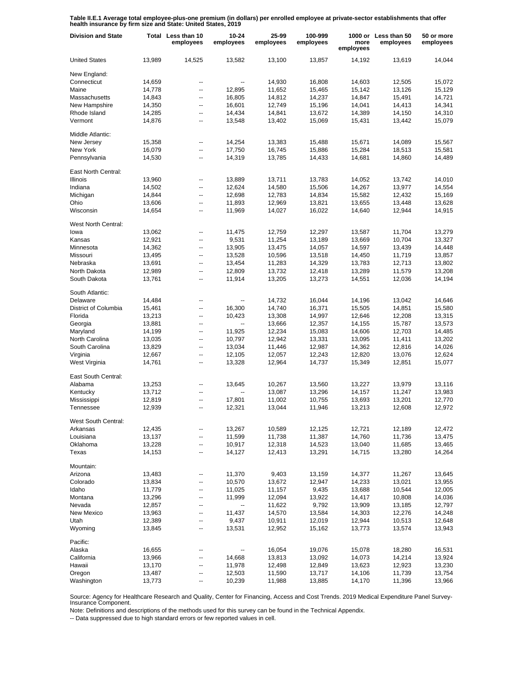**Table II.E.1 Average total employee-plus-one premium (in dollars) per enrolled employee at private-sector establishments that offer health insurance by firm size and State: United States, 2019**

| <b>Division and State</b> |                  | Total Less than 10<br>employees | 10-24<br>employees | 25-99<br>employees | 100-999<br>employees | more<br>employees | 1000 or Less than 50<br>employees | 50 or more<br>employees |
|---------------------------|------------------|---------------------------------|--------------------|--------------------|----------------------|-------------------|-----------------------------------|-------------------------|
| <b>United States</b>      | 13,989           | 14,525                          | 13,582             | 13,100             | 13,857               | 14,192            | 13,619                            | 14,044                  |
| New England:              |                  |                                 |                    |                    |                      |                   |                                   |                         |
| Connecticut               | 14,659           | --                              | --                 | 14,930             | 16,808               | 14,603            | 12,505                            | 15,072                  |
| Maine                     | 14,778           | ۰.                              | 12,895             | 11,652             | 15,465               | 15,142            | 13,126                            | 15,129                  |
| Massachusetts             | 14,843           | ۰.                              | 16,805             | 14,812             | 14,237               | 14,847            | 15,491                            | 14,721                  |
| New Hampshire             | 14,350           | ۰.                              | 16,601             | 12,749             | 15,196               | 14,041            | 14,413                            | 14,341                  |
| Rhode Island              | 14,285           | --                              | 14,434             | 14,841             | 13,672               | 14,389            | 14,150                            | 14,310                  |
| Vermont                   | 14,876           | ۰.                              | 13,548             | 13,402             | 15,069               | 15,431            | 13,442                            | 15,079                  |
| Middle Atlantic:          |                  |                                 |                    |                    |                      |                   |                                   |                         |
| New Jersey                | 15,358           | $\overline{a}$                  | 14,254             | 13,383             | 15,488               | 15,671            | 14,089                            | 15,567                  |
| New York                  | 16,079           | --                              | 17,750             | 16,745             | 15,886               | 15,284            | 18,513                            | 15,581                  |
| Pennsylvania              | 14,530           | --                              | 14,319             | 13,785             | 14,433               | 14,681            | 14,860                            | 14,489                  |
| East North Central:       |                  |                                 |                    |                    |                      |                   |                                   |                         |
| <b>Illinois</b>           | 13,960           | --                              | 13,889             | 13,711             | 13,783               | 14,052            | 13,742                            | 14,010                  |
| Indiana                   | 14,502           | --                              | 12,624             | 14,580             | 15,506               | 14,267            | 13,977                            | 14,554                  |
| Michigan                  | 14,844           | --                              | 12,698             | 12,783             | 14,834               | 15,582            | 12,432                            | 15,169                  |
| Ohio                      | 13,606           | --                              | 11,893             | 12,969             | 13,821               | 13,655            | 13,448                            | 13,628                  |
| Wisconsin                 | 14,654           | ۵.                              | 11,969             | 14,027             | 16,022               | 14,640            | 12,944                            | 14,915                  |
| West North Central:       |                  |                                 |                    |                    |                      |                   |                                   |                         |
| lowa                      | 13,062           | ۰.                              | 11,475             | 12,759             | 12,297               | 13,587            | 11,704                            | 13,279                  |
| Kansas                    | 12,921           | ۰.                              | 9,531              | 11,254             | 13,189               | 13,669            | 10,704                            | 13,327                  |
| Minnesota                 | 14,362           | ۰.                              | 13,905             | 13,475             | 14,057               | 14,597            | 13,439                            | 14,448                  |
| Missouri                  | 13,495           | ۰.                              | 13,528             | 10,596             | 13,518               | 14,450            | 11,719                            | 13,857                  |
| Nebraska                  | 13,691           | --                              | 13,454             | 11,283             | 14,329               | 13,783            | 12,713                            | 13,802                  |
| North Dakota              | 12,989           | ۰.                              | 12,809             | 13,732             | 12,418               | 13,289            | 11,579                            | 13,208                  |
| South Dakota              | 13,761           | --                              | 11,914             | 13,205             | 13,273               | 14,551            | 12,036                            | 14,194                  |
| South Atlantic:           |                  |                                 |                    |                    |                      |                   |                                   |                         |
| Delaware                  | 14,484           | $\overline{a}$                  | --                 | 14,732             | 16,044               | 14,196            | 13,042                            | 14,646                  |
| District of Columbia      | 15,461           | $\overline{\phantom{a}}$        | 16,300             | 14,740             | 16,371               | 15,505            | 14,851                            | 15,580                  |
| Florida                   | 13,213           | --                              | 10,423             | 13,308             | 14,997               | 12,646            | 12,208                            | 13,315                  |
| Georgia                   | 13,881           | $\overline{\phantom{a}}$        | --                 | 13,666             | 12,357               | 14,155            | 15,787                            | 13,573                  |
| Maryland                  | 14,199           | --                              | 11,925             | 12,234             | 15,083               | 14,606            | 12,703                            | 14,485                  |
| North Carolina            | 13,035           | $\overline{\phantom{a}}$        | 10,797             | 12,942             | 13,331               | 13,095            | 11,411                            | 13,202                  |
| South Carolina            | 13,829           | --                              | 13,034             | 11,446             | 12,987               | 14,362            | 12,816                            | 14,026                  |
| Virginia                  | 12,667           | $\overline{\phantom{a}}$        | 12,105             | 12,057             | 12,243               | 12,820            | 13,076                            | 12,624                  |
| West Virginia             | 14,761           | --                              | 13,328             | 12,964             | 14,737               | 15,349            | 12,851                            | 15,077                  |
| East South Central:       |                  |                                 |                    |                    |                      |                   |                                   |                         |
| Alabama                   | 13,253           | --                              | 13,645             | 10,267             | 13,560               | 13,227            | 13,979                            | 13,116                  |
| Kentucky                  | 13,712           | --                              | --                 | 13,087             | 13,296               | 14,157            | 11,247                            | 13,983                  |
| Mississippi               | 12,819           | --                              | 17,801             | 11,002             | 10,755               | 13,693            | 13,201                            | 12,770                  |
| Tennessee                 | 12,939           | $\overline{a}$                  | 12,321             | 13,044             | 11,946               | 13,213            | 12,608                            | 12,972                  |
| West South Central:       |                  |                                 |                    |                    |                      |                   |                                   |                         |
| Arkansas                  | 12,435           |                                 | 13,267             | 10,589             | 12,125               | 12,721            | 12,189                            | 12,472                  |
| Louisiana                 | 13,137           | ۰.                              | 11,599             | 11,738             | 11,387               | 14,760            | 11,736                            | 13,475                  |
| Oklahoma<br>Texas         | 13,228<br>14,153 | -−<br>۰.                        | 10,917<br>14,127   | 12,318<br>12,413   | 14,523<br>13,291     | 13,040<br>14,715  | 11,685<br>13,280                  | 13,465<br>14,264        |
|                           |                  |                                 |                    |                    |                      |                   |                                   |                         |
| Mountain:                 |                  |                                 |                    |                    |                      |                   |                                   |                         |
| Arizona                   | 13,483           | ۰.                              | 11,370             | 9,403              | 13,159               | 14,377            | 11,267                            | 13,645                  |
| Colorado                  | 13,834           | --                              | 10,570             | 13,672             | 12,947               | 14,233            | 13,021                            | 13,955                  |
| Idaho                     | 11,779           | --                              | 11,025             | 11,157             | 9,435                | 13,688            | 10,544                            | 12,005                  |
| Montana                   | 13,296           | --                              | 11,999             | 12,094             | 13,922               | 14,417            | 10,808                            | 14,036                  |
| Nevada                    | 12,857           | --                              | --                 | 11,622             | 9,792                | 13,909            | 13,185                            | 12,797                  |
| New Mexico                | 13,963           | --                              | 11,437             | 14,570             | 13,584               | 14,303            | 12,276                            | 14,248                  |
| Utah                      | 12,389           | --                              | 9,437              | 10,911             | 12,019               | 12,944            | 10,513                            | 12,648                  |
| Wyoming                   | 13,845           | --                              | 13,531             | 12,952             | 15,162               | 13,773            | 13,574                            | 13,943                  |
| Pacific:                  |                  |                                 |                    |                    |                      |                   |                                   |                         |
| Alaska                    | 16,655           | --                              |                    | 16,054             | 19,076               | 15,078            | 18,280                            | 16,531                  |
| California                | 13,966           | --                              | 14,668             | 13,813             | 13,092               | 14,073            | 14,214                            | 13,924                  |
| Hawaii                    | 13,170           | --                              | 11,978             | 12,498             | 12,849               | 13,623            | 12,923                            | 13,230                  |
| Oregon                    | 13,487           | --                              | 12,503             | 11,590             | 13,717               | 14,106            | 11,739                            | 13,754                  |
| Washington                | 13,773           | ۰.                              | 10,239             | 11,988             | 13,885               | 14,170            | 11,396                            | 13,966                  |

Source: Agency for Healthcare Research and Quality, Center for Financing, Access and Cost Trends. 2019 Medical Expenditure Panel Survey-Insurance Component.

Note: Definitions and descriptions of the methods used for this survey can be found in the Technical Appendix.

-- Data suppressed due to high standard errors or few reported values in cell.